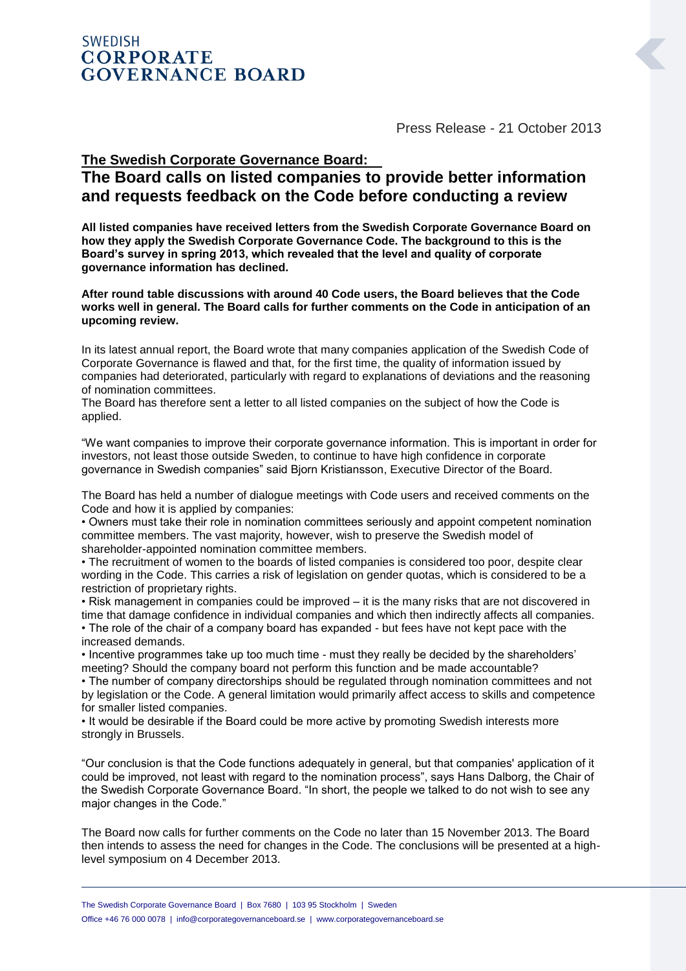## **SWEDISH CORPORATE GOVERNANCE BOARD**

Press Release - 21 October 2013

## **The Swedish Corporate Governance Board: The Board calls on listed companies to provide better information and requests feedback on the Code before conducting a review**

**All listed companies have received letters from the Swedish Corporate Governance Board on how they apply the Swedish Corporate Governance Code. The background to this is the Board's survey in spring 2013, which revealed that the level and quality of corporate governance information has declined.**

**After round table discussions with around 40 Code users, the Board believes that the Code works well in general. The Board calls for further comments on the Code in anticipation of an upcoming review.**

In its latest annual report, the Board wrote that many companies application of the Swedish Code of Corporate Governance is flawed and that, for the first time, the quality of information issued by companies had deteriorated, particularly with regard to explanations of deviations and the reasoning of nomination committees.

The Board has therefore sent a letter to all listed companies on the subject of how the Code is applied.

"We want companies to improve their corporate governance information. This is important in order for investors, not least those outside Sweden, to continue to have high confidence in corporate governance in Swedish companies" said Bjorn Kristiansson, Executive Director of the Board.

The Board has held a number of dialogue meetings with Code users and received comments on the Code and how it is applied by companies:

• Owners must take their role in nomination committees seriously and appoint competent nomination committee members. The vast majority, however, wish to preserve the Swedish model of shareholder-appointed nomination committee members.

• The recruitment of women to the boards of listed companies is considered too poor, despite clear wording in the Code. This carries a risk of legislation on gender quotas, which is considered to be a restriction of proprietary rights.

• Risk management in companies could be improved – it is the many risks that are not discovered in time that damage confidence in individual companies and which then indirectly affects all companies. • The role of the chair of a company board has expanded - but fees have not kept pace with the increased demands.

• Incentive programmes take up too much time - must they really be decided by the shareholders' meeting? Should the company board not perform this function and be made accountable?

• The number of company directorships should be regulated through nomination committees and not by legislation or the Code. A general limitation would primarily affect access to skills and competence for smaller listed companies.

• It would be desirable if the Board could be more active by promoting Swedish interests more strongly in Brussels.

"Our conclusion is that the Code functions adequately in general, but that companies' application of it could be improved, not least with regard to the nomination process", says Hans Dalborg, the Chair of the Swedish Corporate Governance Board. "In short, the people we talked to do not wish to see any major changes in the Code."

The Board now calls for further comments on the Code no later than 15 November 2013. The Board then intends to assess the need for changes in the Code. The conclusions will be presented at a highlevel symposium on 4 December 2013.